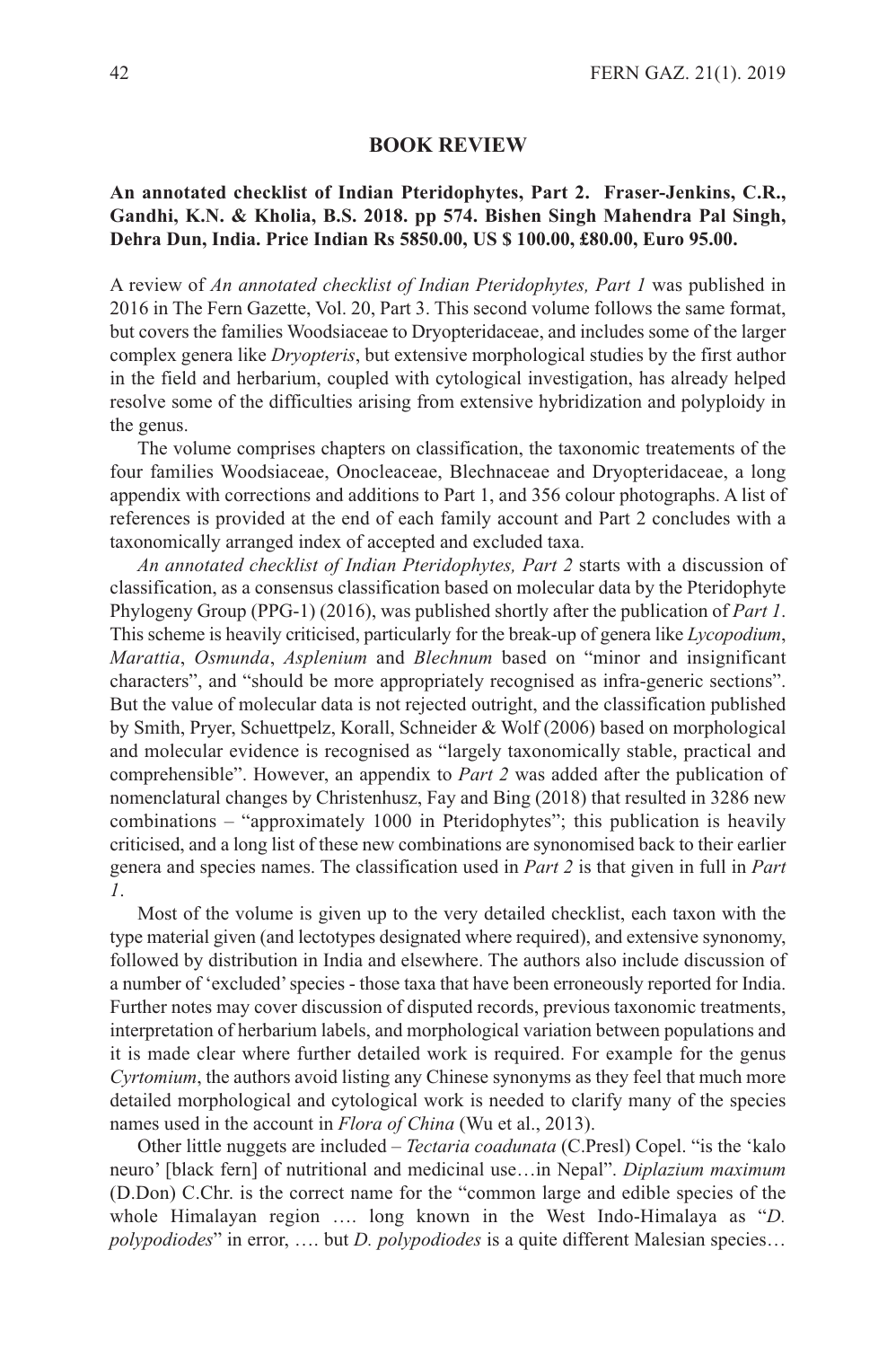## **BOOK REVIEW**

## **An annotated checklist of Indian Pteridophytes, Part 2. Fraser-Jenkins, C.R., Gandhi, K.N. & Kholia, B.S. 2018. pp 574. Bishen Singh Mahendra Pal Singh, Dehra Dun, India. Price Indian Rs 5850.00, US \$ 100.00, £80.00, Euro 95.00.**

A review of *An annotated checklist of Indian Pteridophytes, Part 1* was published in 2016 in The Fern Gazette, Vol. 20, Part 3. This second volume follows the same format, but covers the families Woodsiaceae to Dryopteridaceae, and includes some of the larger complex genera like *Dryopteris*, but extensive morphological studies by the first author in the field and herbarium, coupled with cytological investigation, has already helped resolve some of the difficulties arising from extensive hybridization and polyploidy in the genus.

The volume comprises chapters on classification, the taxonomic treatements of the four families Woodsiaceae, Onocleaceae, Blechnaceae and Dryopteridaceae, a long appendix with corrections and additions to Part 1, and 356 colour photographs. A list of references is provided at the end of each family account and Part 2 concludes with a taxonomically arranged index of accepted and excluded taxa.

*An annotated checklist of Indian Pteridophytes, Part 2* starts with a discussion of classification, as a consensus classification based on molecular data by the Pteridophyte Phylogeny Group (PPG-1) (2016), was published shortly after the publication of *Part 1*. This scheme is heavily criticised, particularly for the break-up of genera like *Lycopodium*, *Marattia*, *Osmunda*, *Asplenium* and *Blechnum* based on "minor and insignificant characters", and "should be more appropriately recognised as infra-generic sections". But the value of molecular data is not rejected outright, and the classification published by Smith, Pryer, Schuettpelz, Korall, Schneider & Wolf (2006) based on morphological and molecular evidence is recognised as "largely taxonomically stable, practical and comprehensible". However, an appendix to *Part 2* was added after the publication of nomenclatural changes by Christenhusz, Fay and Bing (2018) that resulted in 3286 new combinations – "approximately 1000 in Pteridophytes"; this publication is heavily criticised, and a long list of these new combinations are synonomised back to their earlier genera and species names. The classification used in *Part 2* is that given in full in *Part 1*.

Most of the volume is given up to the very detailed checklist, each taxon with the type material given (and lectotypes designated where required), and extensive synonomy, followed by distribution in India and elsewhere. The authors also include discussion of a number of 'excluded'species - those taxa that have been erroneously reported for India. Further notes may cover discussion of disputed records, previous taxonomic treatments, interpretation of herbarium labels, and morphological variation between populations and it is made clear where further detailed work is required. For example for the genus *Cyrtomium*, the authors avoid listing any Chinese synonyms as they feel that much more detailed morphological and cytological work is needed to clarify many of the species names used in the account in *Flora of China* (Wu et al., 2013).

Other little nuggets are included – *Tectaria coadunata* (C.Presl) Copel. "is the 'kalo neuro' [black fern] of nutritional and medicinal use…in Nepal". *Diplazium maximum* (D.Don) C.Chr. is the correct name for the "common large and edible species of the whole Himalayan region …. long known in the West Indo-Himalaya as "*D. polypodiodes*" in error, …. but *D. polypodiodes* is a quite different Malesian species…